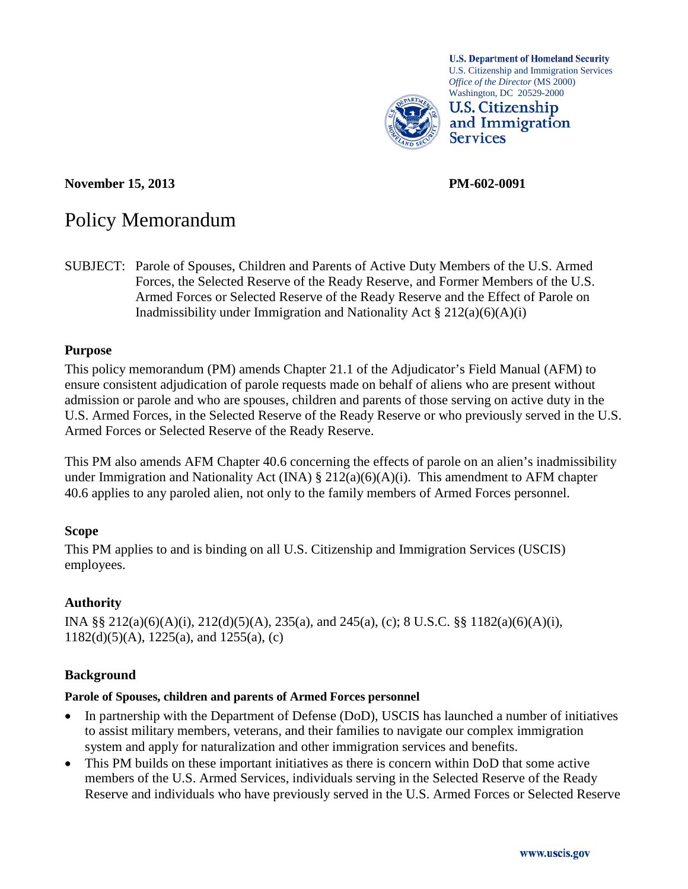

**November 15, 2013 PM-602-0091**

**U.S. Department of Homeland Security** U.S. Citizenship and Immigration Services *Office of the Director* (MS 2000) Washington, DC 20529-2000

**U.S. Citizenship** and Immigration **Services** 

# Policy Memorandum

SUBJECT: Parole of Spouses, Children and Parents of Active Duty Members of the U.S. Armed Forces, the Selected Reserve of the Ready Reserve, and Former Members of the U.S. Armed Forces or Selected Reserve of the Ready Reserve and the Effect of Parole on Inadmissibility under Immigration and Nationality Act  $\S 212(a)(6)(A)(i)$ 

# **Purpose**

This policy memorandum (PM) amends Chapter 21.1 of the Adjudicator's Field Manual (AFM) to ensure consistent adjudication of parole requests made on behalf of aliens who are present without admission or parole and who are spouses, children and parents of those serving on active duty in the U.S. Armed Forces, in the Selected Reserve of the Ready Reserve or who previously served in the U.S. Armed Forces or Selected Reserve of the Ready Reserve.

This PM also amends AFM Chapter 40.6 concerning the effects of parole on an alien's inadmissibility under Immigration and Nationality Act (INA)  $\S 212(a)(6)(A)(i)$ . This amendment to AFM chapter 40.6 applies to any paroled alien, not only to the family members of Armed Forces personnel.

# **Scope**

This PM applies to and is binding on all U.S. Citizenship and Immigration Services (USCIS) employees.

# **Authority**

INA §§  $212(a)(6)(A)(i)$ ,  $212(d)(5)(A)$ ,  $235(a)$ , and  $245(a)$ , (c); 8 U.S.C. §§  $1182(a)(6)(A)(i)$ ,  $1182(d)(5)(A)$ ,  $1225(a)$ , and  $1255(a)$ , (c)

# **Background**

#### **Parole of Spouses, children and parents of Armed Forces personnel**

- In partnership with the Department of Defense (DoD), USCIS has launched a number of initiatives to assist military members, veterans, and their families to navigate our complex immigration system and apply for naturalization and other immigration services and benefits.
- This PM builds on these important initiatives as there is concern within DoD that some active members of the U.S. Armed Services, individuals serving in the Selected Reserve of the Ready Reserve and individuals who have previously served in the U.S. Armed Forces or Selected Reserve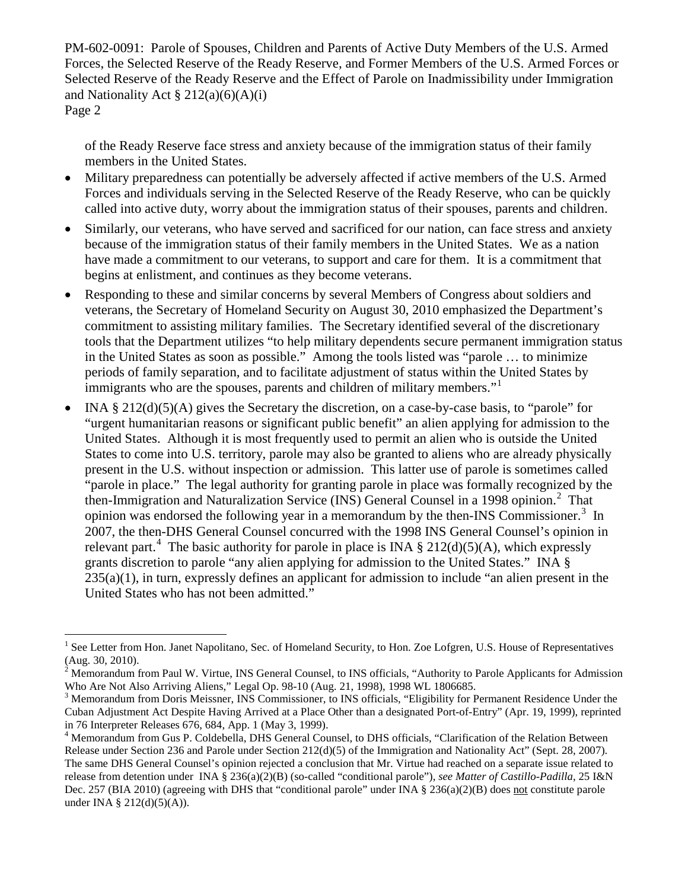of the Ready Reserve face stress and anxiety because of the immigration status of their family members in the United States.

- Military preparedness can potentially be adversely affected if active members of the U.S. Armed Forces and individuals serving in the Selected Reserve of the Ready Reserve, who can be quickly called into active duty, worry about the immigration status of their spouses, parents and children.
- Similarly, our veterans, who have served and sacrificed for our nation, can face stress and anxiety because of the immigration status of their family members in the United States. We as a nation have made a commitment to our veterans, to support and care for them. It is a commitment that begins at enlistment, and continues as they become veterans.
- Responding to these and similar concerns by several Members of Congress about soldiers and veterans, the Secretary of Homeland Security on August 30, 2010 emphasized the Department's commitment to assisting military families. The Secretary identified several of the discretionary tools that the Department utilizes "to help military dependents secure permanent immigration status in the United States as soon as possible." Among the tools listed was "parole … to minimize periods of family separation, and to facilitate adjustment of status within the United States by immigrants who are the spouses, parents and children of military members."
- INA  $\S 212(d)(5)(A)$  gives the Secretary the discretion, on a case-by-case basis, to "parole" for "urgent humanitarian reasons or significant public benefit" an alien applying for admission to the United States. Although it is most frequently used to permit an alien who is outside the United States to come into U.S. territory, parole may also be granted to aliens who are already physically present in the U.S. without inspection or admission. This latter use of parole is sometimes called "parole in place." The legal authority for granting parole in place was formally recognized by the then-Immigration and Naturalization Service (INS) General Counsel in a 1998 opinion.<sup>[2](#page-1-1)</sup> That opinion was endorsed the following year in a memorandum by the then-INS Commissioner.<sup>[3](#page-1-2)</sup> In 2007, the then-DHS General Counsel concurred with the 1998 INS General Counsel's opinion in relevant part.<sup>[4](#page-1-3)</sup> The basic authority for parole in place is INA  $\S 212(d)(5)(A)$ , which expressly grants discretion to parole "any alien applying for admission to the United States." INA §  $235(a)(1)$ , in turn, expressly defines an applicant for admission to include "an alien present in the United States who has not been admitted."

<span id="page-1-0"></span><sup>&</sup>lt;sup>1</sup> See Letter from Hon. Janet Napolitano, Sec. of Homeland Security, to Hon. Zoe Lofgren, U.S. House of Representatives

<span id="page-1-1"></span><sup>(</sup>Aug. 30, 2010).<br><sup>2</sup> Memorandum from Paul W. Virtue, INS General Counsel, to INS officials, "Authority to Parole Applicants for Admission Who Are Not Also Arriving Aliens," Legal Op. 98-10 (Aug. 21, 1998), 1998 WL 1806685

<span id="page-1-2"></span><sup>&</sup>lt;sup>3</sup> Memorandum from Doris Meissner, INS Commissioner, to INS officials, "Eligibility for Permanent Residence Under the Cuban Adjustment Act Despite Having Arrived at a Place Other than a designated Port-of-Entry" (Apr. 19, 1999), reprinted in 76 Interpreter Releases 676, 684, App. 1 (May 3, 1999).

<span id="page-1-3"></span><sup>&</sup>lt;sup>4</sup> Memorandum from Gus P. Coldebella, DHS General Counsel, to DHS officials, "Clarification of the Relation Between Release under Section 236 and Parole under Section 212(d)(5) of the Immigration and Nationality Act" (Sept. 28, 2007). The same DHS General Counsel's opinion rejected a conclusion that Mr. Virtue had reached on a separate issue related to release from detention under INA § 236(a)(2)(B) (so-called "conditional parole"), *see Matter of Castillo-Padilla*, 25 I&N Dec. 257 (BIA 2010) (agreeing with DHS that "conditional parole" under INA § 236(a)(2)(B) does not constitute parole under INA § 212(d)(5)(A)).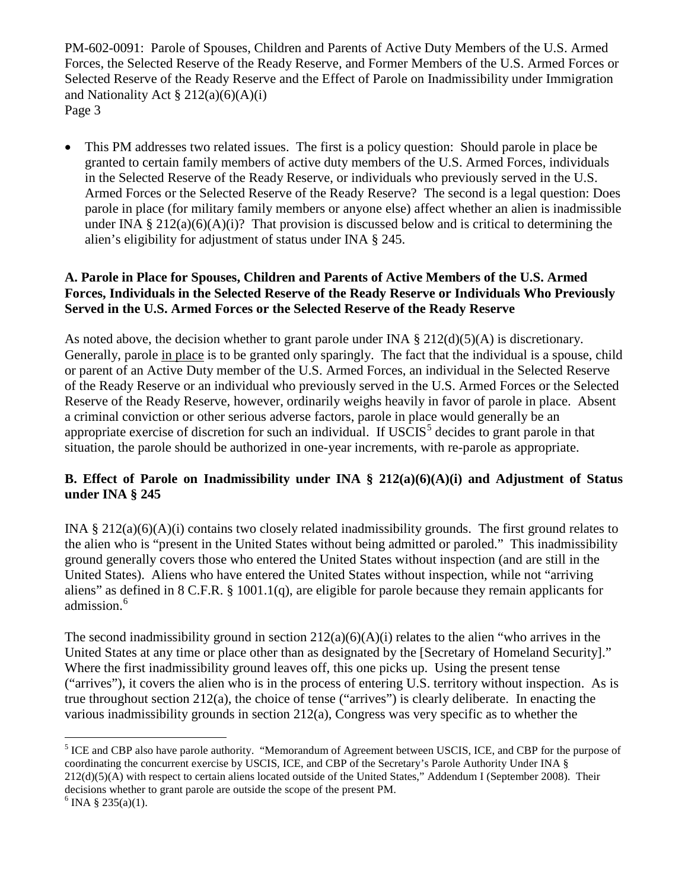• This PM addresses two related issues. The first is a policy question: Should parole in place be granted to certain family members of active duty members of the U.S. Armed Forces, individuals in the Selected Reserve of the Ready Reserve, or individuals who previously served in the U.S. Armed Forces or the Selected Reserve of the Ready Reserve? The second is a legal question: Does parole in place (for military family members or anyone else) affect whether an alien is inadmissible under INA § 212(a)(6)(A)(i)? That provision is discussed below and is critical to determining the alien's eligibility for adjustment of status under INA § 245.

# **A. Parole in Place for Spouses, Children and Parents of Active Members of the U.S. Armed Forces, Individuals in the Selected Reserve of the Ready Reserve or Individuals Who Previously Served in the U.S. Armed Forces or the Selected Reserve of the Ready Reserve**

As noted above, the decision whether to grant parole under INA  $\S 212(d)(5)(A)$  is discretionary. Generally, parole in place is to be granted only sparingly. The fact that the individual is a spouse, child or parent of an Active Duty member of the U.S. Armed Forces, an individual in the Selected Reserve of the Ready Reserve or an individual who previously served in the U.S. Armed Forces or the Selected Reserve of the Ready Reserve, however, ordinarily weighs heavily in favor of parole in place. Absent a criminal conviction or other serious adverse factors, parole in place would generally be an appropriate exercise of discretion for such an individual. If  $USCIS<sup>5</sup>$  $USCIS<sup>5</sup>$  $USCIS<sup>5</sup>$  decides to grant parole in that situation, the parole should be authorized in one-year increments, with re-parole as appropriate.

# **B. Effect of Parole on Inadmissibility under INA § 212(a)(6)(A)(i) and Adjustment of Status under INA § 245**

INA § 212(a)(6)(A)(i) contains two closely related inadmissibility grounds. The first ground relates to the alien who is "present in the United States without being admitted or paroled." This inadmissibility ground generally covers those who entered the United States without inspection (and are still in the United States). Aliens who have entered the United States without inspection, while not "arriving aliens" as defined in  $8 \text{ C.F.R. } § 1001.1(q)$ , are eligible for parole because they remain applicants for admission.<sup>[6](#page-2-1)</sup>

The second inadmissibility ground in section  $212(a)(6)(A)(i)$  relates to the alien "who arrives in the United States at any time or place other than as designated by the [Secretary of Homeland Security]." Where the first inadmissibility ground leaves off, this one picks up. Using the present tense ("arrives"), it covers the alien who is in the process of entering U.S. territory without inspection. As is true throughout section 212(a), the choice of tense ("arrives") is clearly deliberate. In enacting the various inadmissibility grounds in section 212(a), Congress was very specific as to whether the

<span id="page-2-0"></span><sup>&</sup>lt;sup>5</sup> ICE and CBP also have parole authority. "Memorandum of Agreement between USCIS, ICE, and CBP for the purpose of coordinating the concurrent exercise by USCIS, ICE, and CBP of the Secretary's Parole Authority Under INA § 212(d)(5)(A) with respect to certain aliens located outside of the United States," Addendum I (September 2008). Their decisions whether to grant parole are outside the scope of the present PM.  $6 \text{ INA } 8\,235(a)(1)$ .

<span id="page-2-1"></span>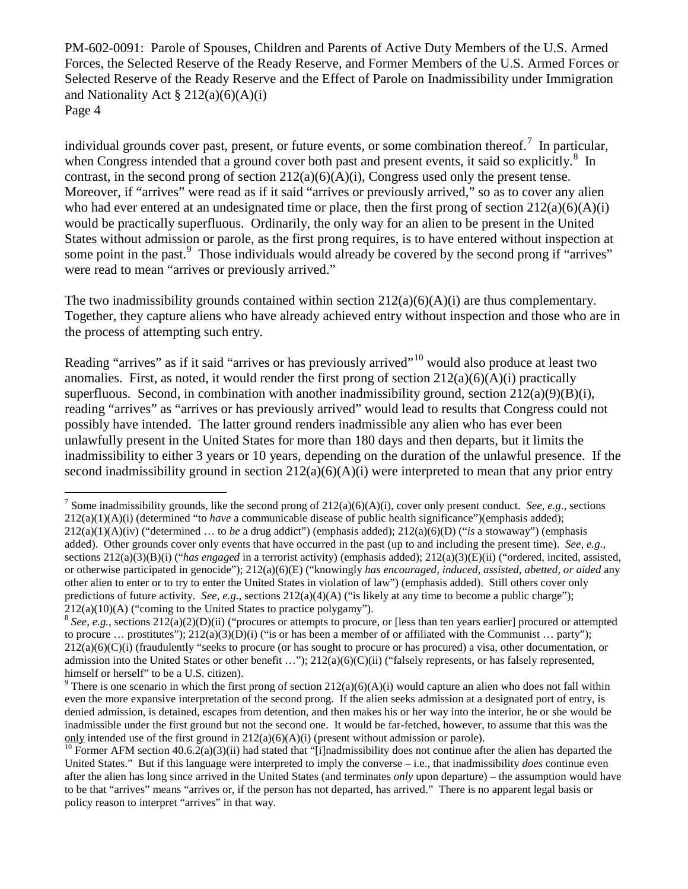individual grounds cover past, present, or future events, or some combination thereof.<sup>[7](#page-3-0)</sup> In particular, when Congress intended that a ground cover both past and present events, it said so explicitly.<sup>[8](#page-3-1)</sup> In contrast, in the second prong of section  $212(a)(6)(A)(i)$ , Congress used only the present tense. Moreover, if "arrives" were read as if it said "arrives or previously arrived," so as to cover any alien who had ever entered at an undesignated time or place, then the first prong of section  $212(a)(6)(A)(i)$ would be practically superfluous. Ordinarily, the only way for an alien to be present in the United States without admission or parole, as the first prong requires, is to have entered without inspection at some point in the past.<sup>[9](#page-3-2)</sup> Those individuals would already be covered by the second prong if "arrives" were read to mean "arrives or previously arrived."

The two inadmissibility grounds contained within section  $212(a)(6)(A)(i)$  are thus complementary. Together, they capture aliens who have already achieved entry without inspection and those who are in the process of attempting such entry.

Reading "arrives" as if it said "arrives or has previously arrived"<sup>[10](#page-3-3)</sup> would also produce at least two anomalies. First, as noted, it would render the first prong of section  $212(a)(6)(A)(i)$  practically superfluous. Second, in combination with another inadmissibility ground, section  $212(a)(9)(B)(i)$ . reading "arrives" as "arrives or has previously arrived" would lead to results that Congress could not possibly have intended. The latter ground renders inadmissible any alien who has ever been unlawfully present in the United States for more than 180 days and then departs, but it limits the inadmissibility to either 3 years or 10 years, depending on the duration of the unlawful presence. If the second inadmissibility ground in section  $212(a)(6)(A)(i)$  were interpreted to mean that any prior entry

<span id="page-3-0"></span><sup>&</sup>lt;sup>7</sup> Some inadmissibility grounds, like the second prong of  $212(a)(6)(A)(i)$ , cover only present conduct. *See, e.g.*, sections 212(a)(1)(A)(i) (determined "to *have* a communicable disease of public health significance")(emphasis added); 212(a)(1)(A)(iv) ("determined … to *be* a drug addict") (emphasis added); 212(a)(6)(D) ("*is* a stowaway") (emphasis added). Other grounds cover only events that have occurred in the past (up to and including the present time). *See, e.g.*, sections 212(a)(3)(B)(i) ("*has engaged* in a terrorist activity) (emphasis added); 212(a)(3)(E)(ii) ("ordered, incited, assisted, or otherwise participated in genocide"); 212(a)(6)(E) ("knowingly *has encouraged, induced, assisted, abetted, or aided* any other alien to enter or to try to enter the United States in violation of law") (emphasis added). Still others cover only predictions of future activity. *See, e.g.*, sections 212(a)(4)(A) ("is likely at any time to become a public charge"); 212(a)(10)(A) ("coming to the United States to practice polygamy").

<span id="page-3-1"></span><sup>&</sup>lt;sup>8</sup> See, e.g., sections 212(a)(2)(D)(ii) ("procures or attempts to procure, or [less than ten years earlier] procured or attempted to procure ... prostitutes");  $212(a)(3)(D)(i)$  ("is or has been a member of or affiliated with the Communist ... party");  $212(a)(6)(C)(i)$  (fraudulently "seeks to procure (or has sought to procure or has procured) a visa, other documentation, or admission into the United States or other benefit ...");  $212(a)(6)(C)(ii)$  ("falsely represents, or has falsely represented, himself or herself" to be a U.S. citizen).

<span id="page-3-2"></span><sup>&</sup>lt;sup>9</sup> There is one scenario in which the first prong of section  $212(a)(6)(A)(i)$  would capture an alien who does not fall within even the more expansive interpretation of the second prong. If the alien seeks admission at a designated port of entry, is denied admission, is detained, escapes from detention, and then makes his or her way into the interior, he or she would be inadmissible under the first ground but not the second one. It would be far-fetched, however, to assume that this was the <u>only</u> intended use of the first ground in 212(a)(6)(A)(i) (present without admission or parole).<br><sup>10</sup> Former AFM section 40.6.2(a)(3)(ii) had stated that "[i]nadmissibility does not continue after the alien has departed

<span id="page-3-3"></span>United States." But if this language were interpreted to imply the converse – i.e., that inadmissibility *does* continue even after the alien has long since arrived in the United States (and terminates *only* upon departure) – the assumption would have to be that "arrives" means "arrives or, if the person has not departed, has arrived." There is no apparent legal basis or policy reason to interpret "arrives" in that way.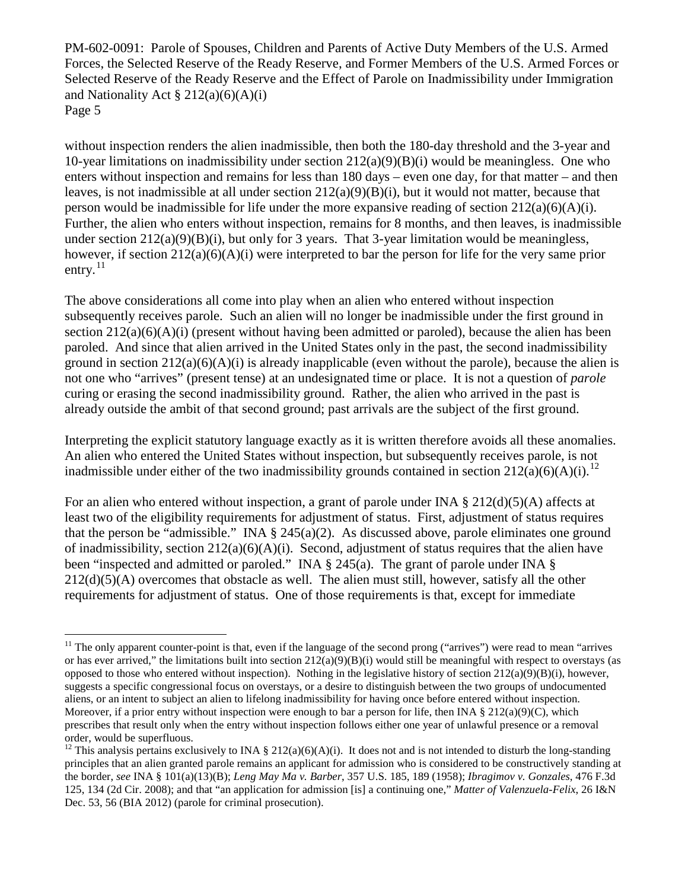without inspection renders the alien inadmissible, then both the 180-day threshold and the 3-year and 10-year limitations on inadmissibility under section 212(a)(9)(B)(i) would be meaningless. One who enters without inspection and remains for less than 180 days – even one day, for that matter – and then leaves, is not inadmissible at all under section  $212(a)(9)(B)(i)$ , but it would not matter, because that person would be inadmissible for life under the more expansive reading of section  $212(a)(6)(A)(i)$ . Further, the alien who enters without inspection, remains for 8 months, and then leaves, is inadmissible under section  $212(a)(9)(B)(i)$ , but only for 3 years. That 3-year limitation would be meaningless, however, if section 212(a)(6)(A)(i) were interpreted to bar the person for life for the very same prior entry. $^{11}$  $^{11}$  $^{11}$ 

The above considerations all come into play when an alien who entered without inspection subsequently receives parole. Such an alien will no longer be inadmissible under the first ground in section  $212(a)(6)(A)(i)$  (present without having been admitted or paroled), because the alien has been paroled. And since that alien arrived in the United States only in the past, the second inadmissibility ground in section  $212(a)(6)(A)(i)$  is already inapplicable (even without the parole), because the alien is not one who "arrives" (present tense) at an undesignated time or place. It is not a question of *parole* curing or erasing the second inadmissibility ground. Rather, the alien who arrived in the past is already outside the ambit of that second ground; past arrivals are the subject of the first ground.

Interpreting the explicit statutory language exactly as it is written therefore avoids all these anomalies. An alien who entered the United States without inspection, but subsequently receives parole, is not inadmissible under either of the two inadmissibility grounds contained in section  $212(a)(6)(A)(i).$  $212(a)(6)(A)(i).$  $212(a)(6)(A)(i).$ <sup>12</sup>

For an alien who entered without inspection, a grant of parole under INA  $\S 212(d)(5)(A)$  affects at least two of the eligibility requirements for adjustment of status. First, adjustment of status requires that the person be "admissible." INA  $\S$  245(a)(2). As discussed above, parole eliminates one ground of inadmissibility, section 212(a)(6)(A)(i). Second, adjustment of status requires that the alien have been "inspected and admitted or paroled." INA § 245(a). The grant of parole under INA § 212(d)(5)(A) overcomes that obstacle as well. The alien must still, however, satisfy all the other requirements for adjustment of status. One of those requirements is that, except for immediate

<span id="page-4-0"></span> $11$  The only apparent counter-point is that, even if the language of the second prong ("arrives") were read to mean "arrives" or has ever arrived," the limitations built into section  $212(a)(9)(B)(i)$  would still be meaningful with respect to overstays (as opposed to those who entered without inspection). Nothing in the legislative history of section  $212(a)(9)(B)(i)$ , however, suggests a specific congressional focus on overstays, or a desire to distinguish between the two groups of undocumented aliens, or an intent to subject an alien to lifelong inadmissibility for having once before entered without inspection. Moreover, if a prior entry without inspection were enough to bar a person for life, then INA § 212(a)(9)(C), which prescribes that result only when the entry without inspection follows either one year of unlawful presence or a removal order, would be superfluous.

<span id="page-4-1"></span><sup>&</sup>lt;sup>12</sup> This analysis pertains exclusively to INA § 212(a)(6)(A)(i). It does not and is not intended to disturb the long-standing principles that an alien granted parole remains an applicant for admission who is considered to be constructively standing at the border, *see* INA § 101(a)(13)(B); *Leng May Ma v. Barber*, 357 U.S. 185, 189 (1958); *Ibragimov v. Gonzales*, 476 F.3d 125, 134 (2d Cir. 2008); and that "an application for admission [is] a continuing one," *Matter of Valenzuela-Felix*, 26 I&N Dec. 53, 56 (BIA 2012) (parole for criminal prosecution).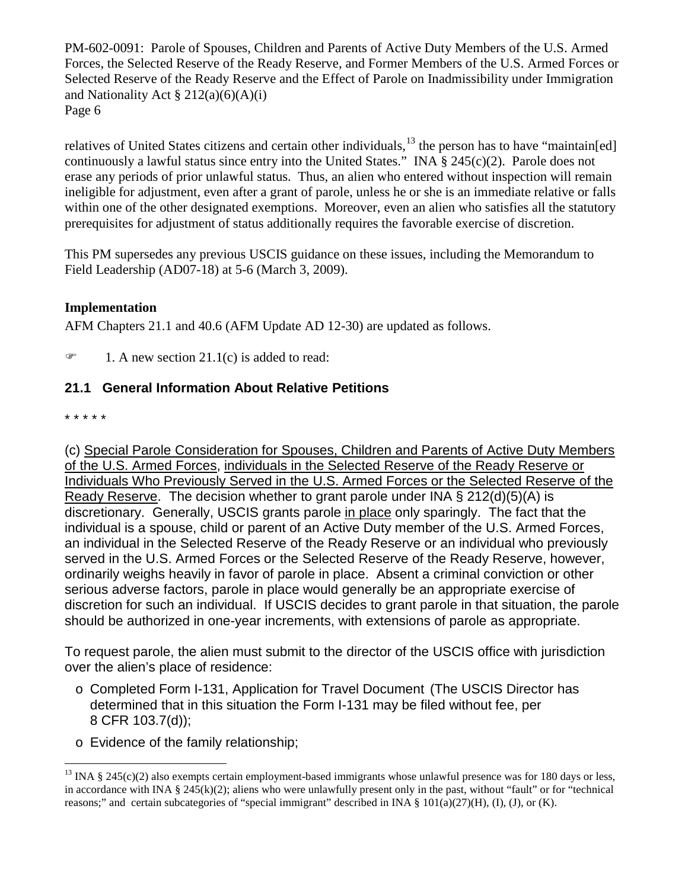relatives of United States citizens and certain other individuals,<sup>[13](#page-5-0)</sup> the person has to have "maintain[ed] continuously a lawful status since entry into the United States." INA § 245(c)(2). Parole does not erase any periods of prior unlawful status. Thus, an alien who entered without inspection will remain ineligible for adjustment, even after a grant of parole, unless he or she is an immediate relative or falls within one of the other designated exemptions. Moreover, even an alien who satisfies all the statutory prerequisites for adjustment of status additionally requires the favorable exercise of discretion.

This PM supersedes any previous USCIS guidance on these issues, including the Memorandum to Field Leadership (AD07-18) at 5-6 (March 3, 2009).

# **Implementation**

AFM Chapters 21.1 and 40.6 (AFM Update AD 12-30) are updated as follows.

 $\mathcal{F}$  1. A new section 21.1(c) is added to read:

# **21.1 General Information About Relative Petitions**

\* \* \* \* \*

(c) Special Parole Consideration for Spouses, Children and Parents of Active Duty Members of the U.S. Armed Forces, individuals in the Selected Reserve of the Ready Reserve or Individuals Who Previously Served in the U.S. Armed Forces or the Selected Reserve of the Ready Reserve. The decision whether to grant parole under INA § 212(d)(5)(A) is discretionary. Generally, USCIS grants parole in place only sparingly. The fact that the individual is a spouse, child or parent of an Active Duty member of the U.S. Armed Forces, an individual in the Selected Reserve of the Ready Reserve or an individual who previously served in the U.S. Armed Forces or the Selected Reserve of the Ready Reserve, however, ordinarily weighs heavily in favor of parole in place. Absent a criminal conviction or other serious adverse factors, parole in place would generally be an appropriate exercise of discretion for such an individual. If USCIS decides to grant parole in that situation, the parole should be authorized in one-year increments, with extensions of parole as appropriate.

To request parole, the alien must submit to the director of the USCIS office with jurisdiction over the alien's place of residence:

- o Completed Form I-131, Application for Travel Document (The USCIS Director has determined that in this situation the Form I-131 may be filed without fee, per 8 CFR 103.7(d));
- o Evidence of the family relationship;

<span id="page-5-0"></span> $13$  INA § 245(c)(2) also exempts certain employment-based immigrants whose unlawful presence was for 180 days or less, in accordance with INA § 245(k)(2); aliens who were unlawfully present only in the past, without "fault" or for "technical reasons;" and certain subcategories of "special immigrant" described in INA § 101(a)(27)(H), (I), (J), or (K).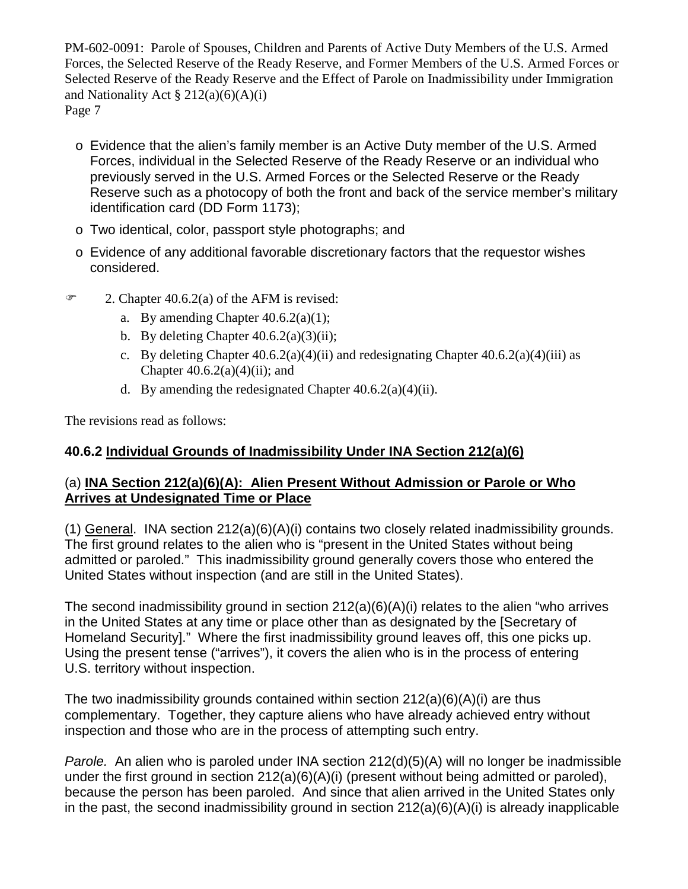- o Evidence that the alien's family member is an Active Duty member of the U.S. Armed Forces, individual in the Selected Reserve of the Ready Reserve or an individual who previously served in the U.S. Armed Forces or the Selected Reserve or the Ready Reserve such as a photocopy of both the front and back of the service member's military identification card (DD Form 1173);
- o Two identical, color, passport style photographs; and
- $\circ$  Evidence of any additional favorable discretionary factors that the requestor wishes considered.
- $\mathcal{F}$  2. Chapter 40.6.2(a) of the AFM is revised:
	- a. By amending Chapter  $40.6.2(a)(1)$ ;
	- b. By deleting Chapter  $40.6.2(a)(3)(ii)$ ;
	- c. By deleting Chapter  $40.6.2(a)(4)(ii)$  and redesignating Chapter  $40.6.2(a)(4)(iii)$  as Chapter  $40.6.2(a)(4)(ii)$ ; and
	- d. By amending the redesignated Chapter  $40.6.2(a)(4)(ii)$ .

The revisions read as follows:

# **40.6.2 Individual Grounds of Inadmissibility Under INA Section 212(a)(6)**

# (a) **INA Section 212(a)(6)(A): Alien Present Without Admission or Parole or Who Arrives at Undesignated Time or Place**

(1) General. INA section 212(a)(6)(A)(i) contains two closely related inadmissibility grounds. The first ground relates to the alien who is "present in the United States without being admitted or paroled." This inadmissibility ground generally covers those who entered the United States without inspection (and are still in the United States).

The second inadmissibility ground in section 212(a)(6)(A)(i) relates to the alien "who arrives in the United States at any time or place other than as designated by the [Secretary of Homeland Security]." Where the first inadmissibility ground leaves off, this one picks up. Using the present tense ("arrives"), it covers the alien who is in the process of entering U.S. territory without inspection.

The two inadmissibility grounds contained within section  $212(a)(6)(A)(i)$  are thus complementary. Together, they capture aliens who have already achieved entry without inspection and those who are in the process of attempting such entry.

*Parole.* An alien who is paroled under INA section 212(d)(5)(A) will no longer be inadmissible under the first ground in section 212(a)(6)(A)(i) (present without being admitted or paroled), because the person has been paroled. And since that alien arrived in the United States only in the past, the second inadmissibility ground in section 212(a)(6)(A)(i) is already inapplicable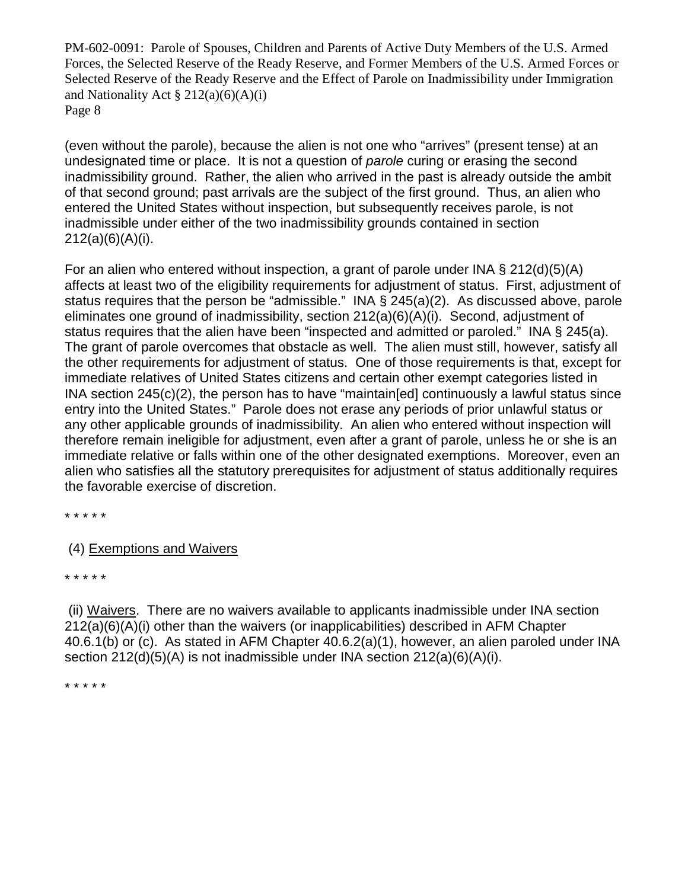(even without the parole), because the alien is not one who "arrives" (present tense) at an undesignated time or place. It is not a question of *parole* curing or erasing the second inadmissibility ground. Rather, the alien who arrived in the past is already outside the ambit of that second ground; past arrivals are the subject of the first ground. Thus, an alien who entered the United States without inspection, but subsequently receives parole, is not inadmissible under either of the two inadmissibility grounds contained in section 212(a)(6)(A)(i).

For an alien who entered without inspection, a grant of parole under INA  $\S 212(d)(5)(A)$ affects at least two of the eligibility requirements for adjustment of status. First, adjustment of status requires that the person be "admissible." INA § 245(a)(2). As discussed above, parole eliminates one ground of inadmissibility, section 212(a)(6)(A)(i). Second, adjustment of status requires that the alien have been "inspected and admitted or paroled." INA § 245(a). The grant of parole overcomes that obstacle as well. The alien must still, however, satisfy all the other requirements for adjustment of status. One of those requirements is that, except for immediate relatives of United States citizens and certain other exempt categories listed in INA section 245(c)(2), the person has to have "maintain[ed] continuously a lawful status since entry into the United States." Parole does not erase any periods of prior unlawful status or any other applicable grounds of inadmissibility. An alien who entered without inspection will therefore remain ineligible for adjustment, even after a grant of parole, unless he or she is an immediate relative or falls within one of the other designated exemptions. Moreover, even an alien who satisfies all the statutory prerequisites for adjustment of status additionally requires the favorable exercise of discretion.

\* \* \* \* \*

(4) Exemptions and Waivers

\* \* \* \* \*

(ii) Waivers. There are no waivers available to applicants inadmissible under INA section 212(a)(6)(A)(i) other than the waivers (or inapplicabilities) described in AFM Chapter 40.6.1(b) or (c). As stated in AFM Chapter 40.6.2(a)(1), however, an alien paroled under INA section  $212(d)(5)(A)$  is not inadmissible under INA section  $212(a)(6)(A)(i)$ .

\* \* \* \* \*